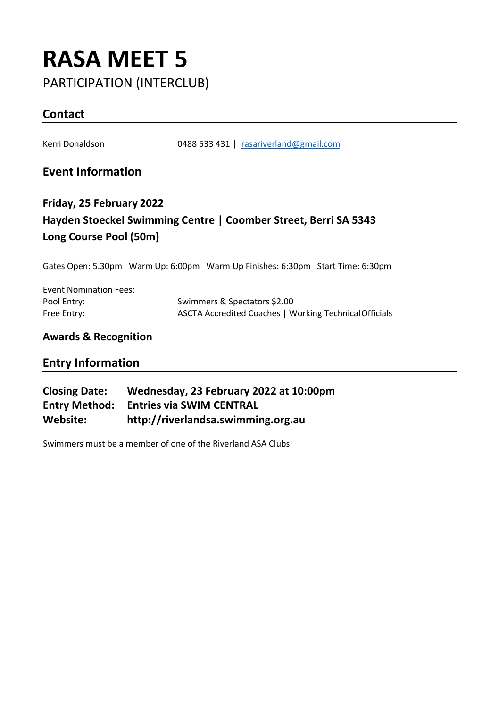# **RASA MEET 5** PARTICIPATION (INTERCLUB)

## **Contact**

Kerri Donaldson 0488 533 431 | [rasariverland@gmail.com](mailto:rasariverland@gmail.com)

### **Event Information**

# **Friday, 25 February 2022 Hayden Stoeckel Swimming Centre | Coomber Street, Berri SA 5343 Long Course Pool (50m)**

Gates Open: 5.30pm Warm Up: 6:00pm Warm Up Finishes: 6:30pm Start Time: 6:30pm

| <b>Event Nomination Fees:</b> |                                                        |
|-------------------------------|--------------------------------------------------------|
| Pool Entry:                   | Swimmers & Spectators \$2.00                           |
| Free Entry:                   | ASCTA Accredited Coaches   Working Technical Officials |

#### **Awards & Recognition**

### **Entry Information**

| <b>Closing Date:</b> | Wednesday, 23 February 2022 at 10:00pm |
|----------------------|----------------------------------------|
| Entry Method:        | <b>Entries via SWIM CENTRAL</b>        |
| Website:             | http://riverlandsa.swimming.org.au     |

Swimmers must be a member of one of the Riverland ASA Clubs